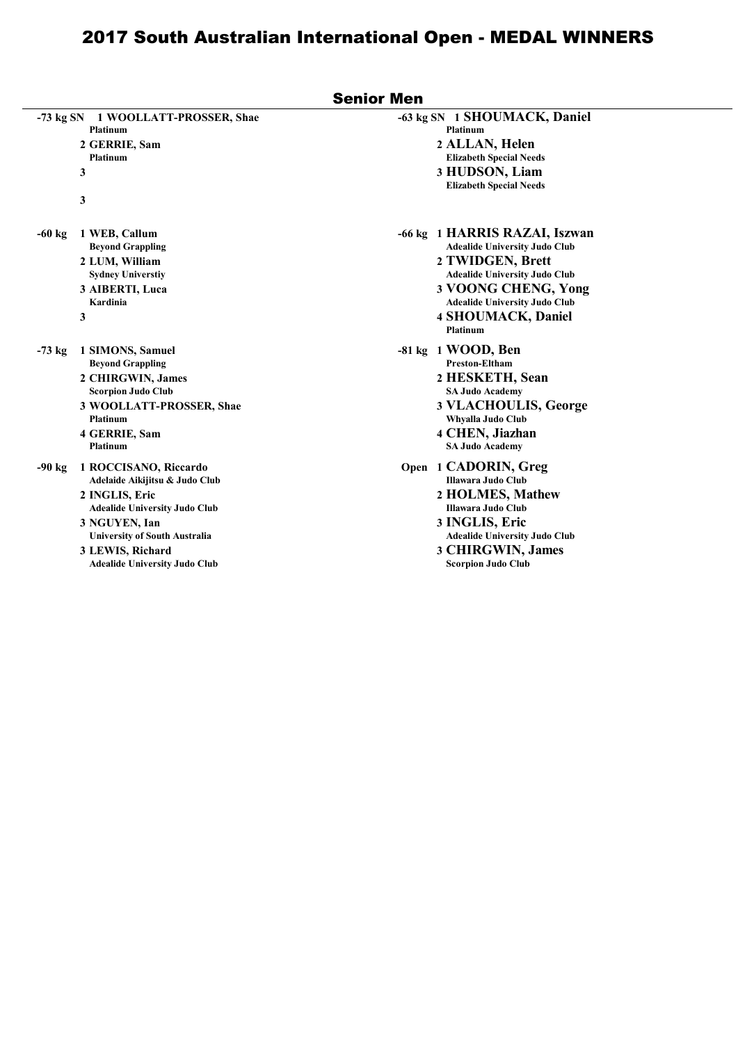|                                                                                                                                                                                                                                                    | <b>Senior Men</b>                                                                                                                                                                                                                                |
|----------------------------------------------------------------------------------------------------------------------------------------------------------------------------------------------------------------------------------------------------|--------------------------------------------------------------------------------------------------------------------------------------------------------------------------------------------------------------------------------------------------|
| $-73$ kg SN<br>1 WOOLLATT-PROSSER, Shae<br><b>Platinum</b><br>2 GERRIE, Sam<br><b>Platinum</b><br>3<br>3                                                                                                                                           | -63 kg SN 1 SHOUMACK, Daniel<br><b>Platinum</b><br>2 ALLAN, Helen<br><b>Elizabeth Special Needs</b><br>3 HUDSON, Liam<br><b>Elizabeth Special Needs</b>                                                                                          |
| 1 WEB, Callum<br>$-60$ kg<br><b>Beyond Grappling</b><br>2 LUM, William<br><b>Sydney Universtiy</b><br>3 AIBERTI, Luca<br>Kardinia<br>3                                                                                                             | -66 kg 1 HARRIS RAZAI, Iszwan<br><b>Adealide University Judo Club</b><br>2 TWIDGEN, Brett<br><b>Adealide University Judo Club</b><br>3 VOONG CHENG, Yong<br><b>Adealide University Judo Club</b><br><b>4 SHOUMACK, Daniel</b><br><b>Platinum</b> |
| 1 SIMONS, Samuel<br>$-73$ kg<br><b>Beyond Grappling</b><br>2 CHIRGWIN, James<br><b>Scorpion Judo Club</b><br>3 WOOLLATT-PROSSER, Shae<br><b>Platinum</b><br>4 GERRIE, Sam<br><b>Platinum</b>                                                       | -81 kg 1 WOOD, Ben<br><b>Preston-Eltham</b><br>2 HESKETH, Sean<br><b>SA Judo Academy</b><br>3 VLACHOULIS, George<br>Whyalla Judo Club<br>4 CHEN, Jiazhan<br><b>SA Judo Academy</b>                                                               |
| 1 ROCCISANO, Riccardo<br>$-90$ kg<br>Adelaide Aikijitsu & Judo Club<br>2 INGLIS, Eric<br><b>Adealide University Judo Club</b><br>3 NGUYEN, Ian<br><b>University of South Australia</b><br>3 LEWIS, Richard<br><b>Adealide University Judo Club</b> | Open 1 CADORIN, Greg<br>Illawara Judo Club<br>2 HOLMES, Mathew<br>Illawara Judo Club<br>3 INGLIS, Eric<br><b>Adealide University Judo Club</b><br>3 CHIRGWIN, James<br><b>Scorpion Judo Club</b>                                                 |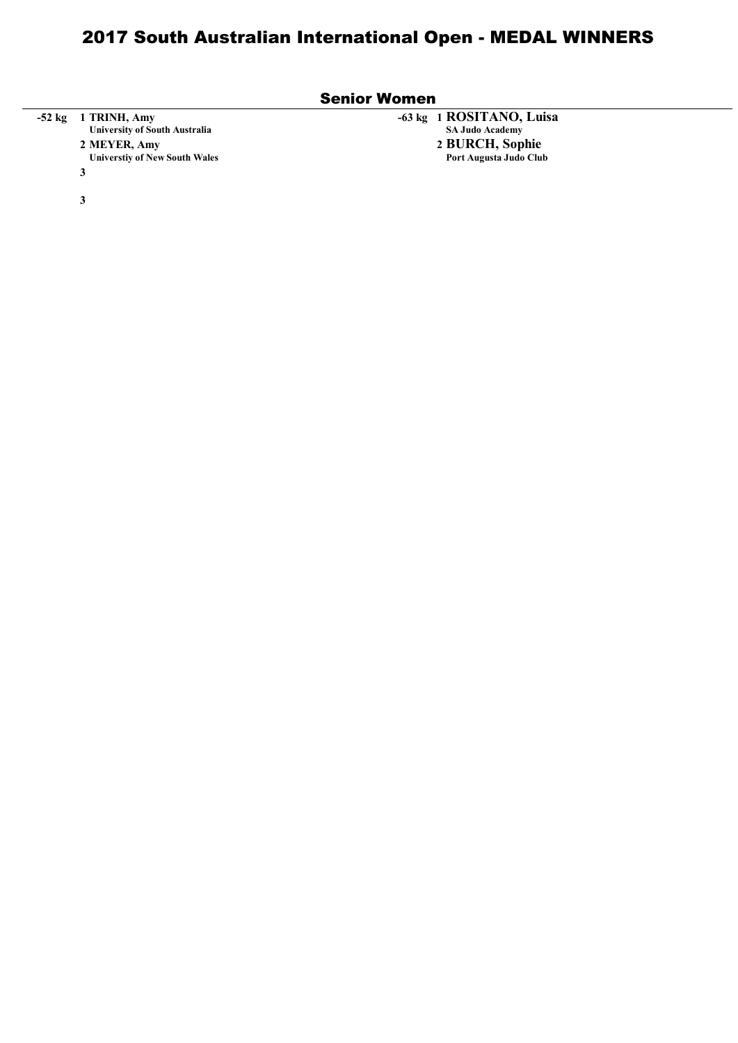|        | <b>Senior Women</b>                                                                                               |                                                                                                 |  |  |  |  |  |
|--------|-------------------------------------------------------------------------------------------------------------------|-------------------------------------------------------------------------------------------------|--|--|--|--|--|
| -52 kg | 1 TRINH, Amy<br><b>University of South Australia</b><br>2 MEYER, Amy<br><b>Universtiy of New South Wales</b><br>3 | -63 kg 1 ROSITANO, Luisa<br><b>SA Judo Academy</b><br>2 BURCH, Sophie<br>Port Augusta Judo Club |  |  |  |  |  |
|        | 3                                                                                                                 |                                                                                                 |  |  |  |  |  |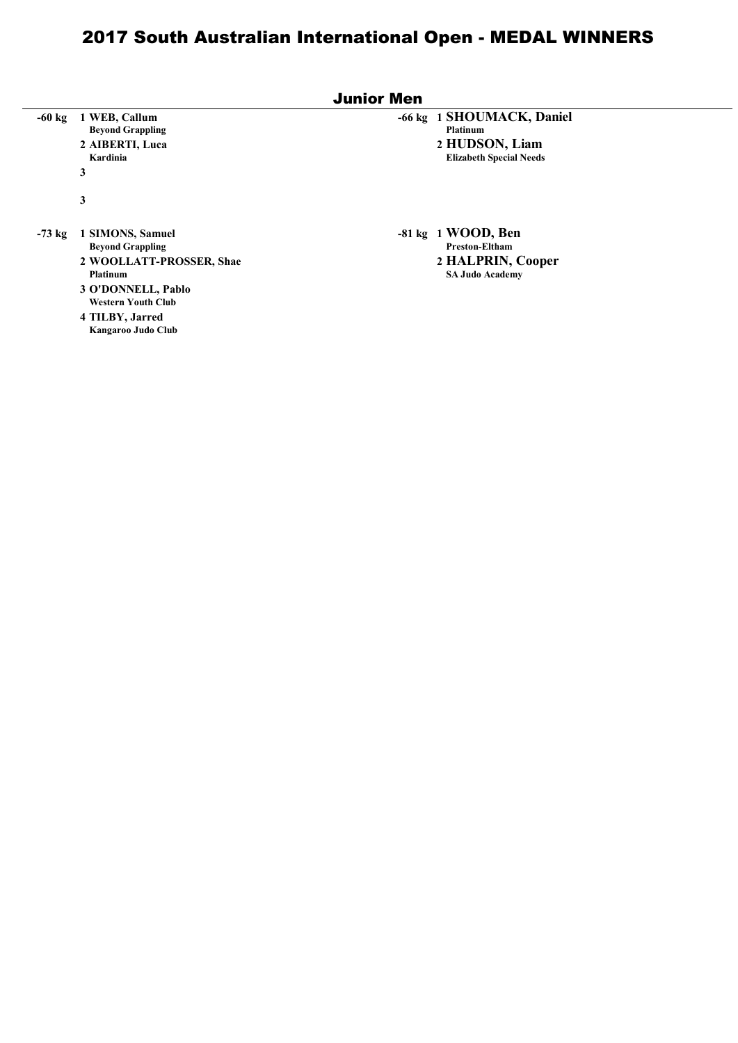|          | <b>Junior Men</b>                                                                                                                                                               |                                                                                                  |  |  |  |  |  |  |
|----------|---------------------------------------------------------------------------------------------------------------------------------------------------------------------------------|--------------------------------------------------------------------------------------------------|--|--|--|--|--|--|
| $-60$ kg | 1 WEB, Callum<br><b>Beyond Grappling</b><br>2 AIBERTI, Luca<br>Kardinia<br>3<br>3                                                                                               | -66 kg 1 SHOUMACK, Daniel<br><b>Platinum</b><br>2 HUDSON, Liam<br><b>Elizabeth Special Needs</b> |  |  |  |  |  |  |
| $-73$ kg | 1 SIMONS, Samuel<br><b>Beyond Grappling</b><br>2 WOOLLATT-PROSSER, Shae<br>Platinum<br>3 O'DONNELL, Pablo<br><b>Western Youth Club</b><br>4 TILBY, Jarred<br>Kangaroo Judo Club | $-81 \text{ kg}$ 1 WOOD, Ben<br>Preston-Eltham<br>2 HALPRIN, Cooper<br><b>SA Judo Academy</b>    |  |  |  |  |  |  |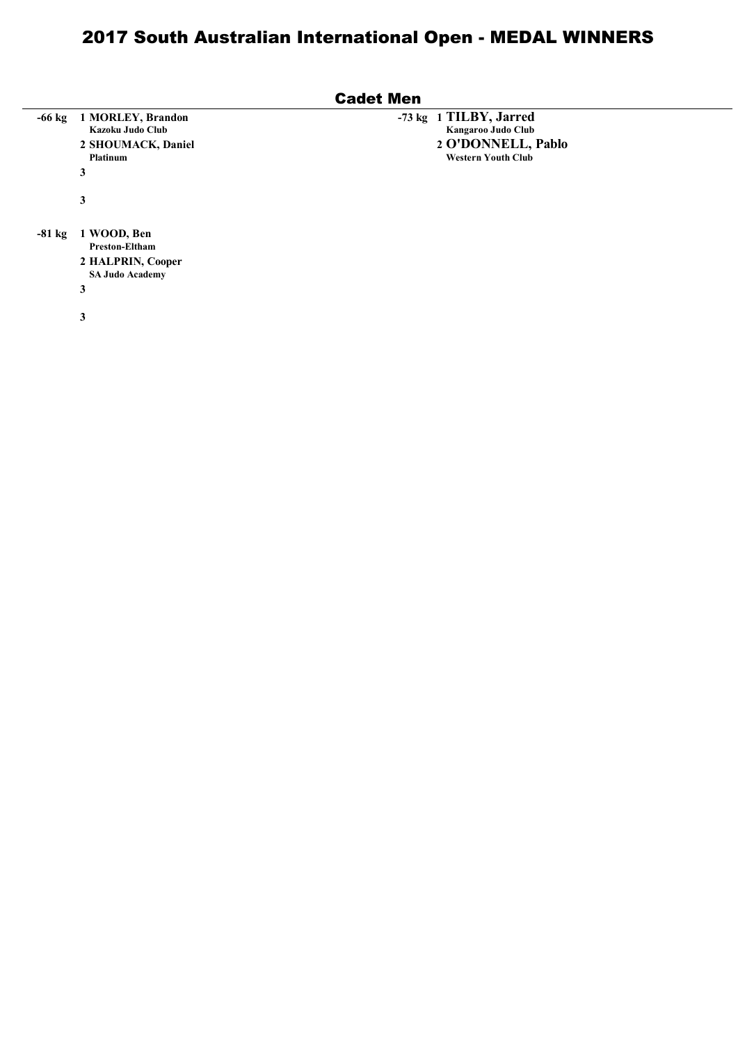|          | <b>Cadet Men</b>                                                                         |                                                                                                      |  |  |  |  |  |  |
|----------|------------------------------------------------------------------------------------------|------------------------------------------------------------------------------------------------------|--|--|--|--|--|--|
| $-66$ kg | 1 MORLEY, Brandon<br>Kazoku Judo Club<br>2 SHOUMACK, Daniel<br><b>Platinum</b><br>3      | 1 TILBY, Jarred<br>$-73$ kg<br>Kangaroo Judo Club<br>2 O'DONNELL, Pablo<br><b>Western Youth Club</b> |  |  |  |  |  |  |
|          | 3                                                                                        |                                                                                                      |  |  |  |  |  |  |
| $-81$ kg | 1 WOOD, Ben<br><b>Preston-Eltham</b><br>2 HALPRIN, Cooper<br><b>SA Judo Academy</b><br>3 |                                                                                                      |  |  |  |  |  |  |
|          | 3                                                                                        |                                                                                                      |  |  |  |  |  |  |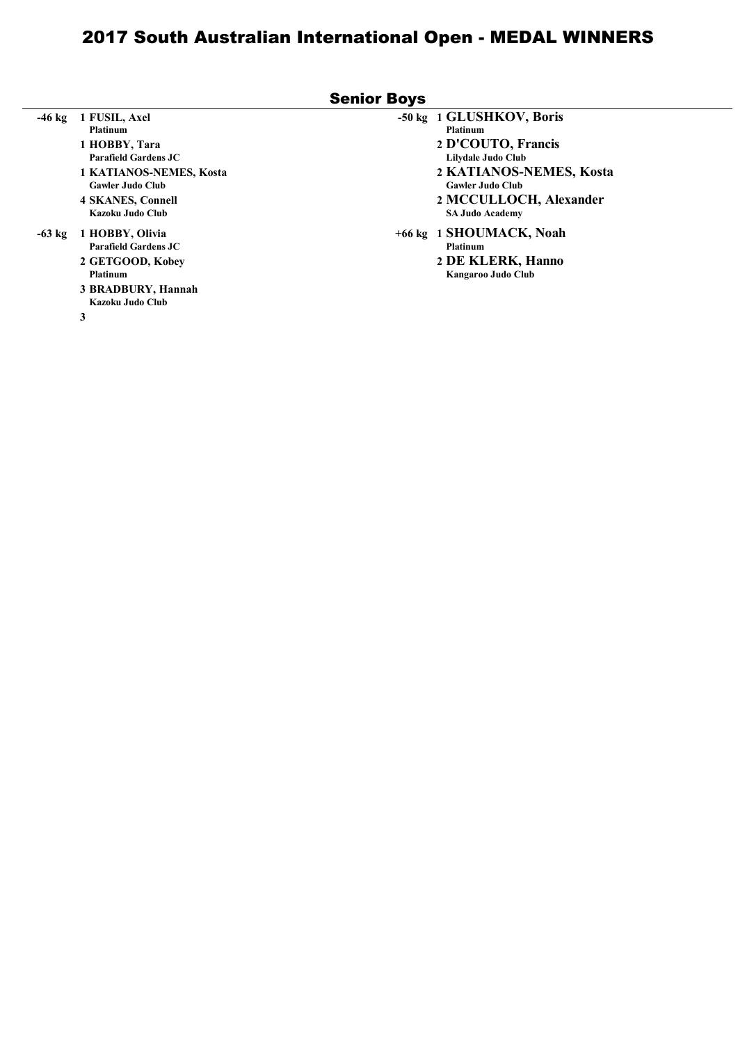|          |                                                                                                                                                                                 | <b>Senior Boys</b>                                                                                                                                                                                |
|----------|---------------------------------------------------------------------------------------------------------------------------------------------------------------------------------|---------------------------------------------------------------------------------------------------------------------------------------------------------------------------------------------------|
| $-46$ kg | 1 FUSIL, Axel<br><b>Platinum</b><br>1 HOBBY, Tara<br>Parafield Gardens JC<br>1 KATIANOS-NEMES, Kosta<br><b>Gawler Judo Club</b><br><b>4 SKANES, Connell</b><br>Kazoku Judo Club | -50 kg 1 GLUSHKOV, Boris<br><b>Platinum</b><br>2 D'COUTO, Francis<br>Lilydale Judo Club<br>2 KATIANOS-NEMES, Kosta<br><b>Gawler Judo Club</b><br>2 MCCULLOCH, Alexander<br><b>SA Judo Academy</b> |
| $-63$ kg | 1 HOBBY, Olivia<br>Parafield Gardens JC<br>2 GETGOOD, Kobey<br><b>Platinum</b><br>3 BRADBURY, Hannah<br>Kazoku Judo Club<br>3                                                   | +66 kg 1 SHOUMACK, Noah<br><b>Platinum</b><br>2 DE KLERK, Hanno<br>Kangaroo Judo Club                                                                                                             |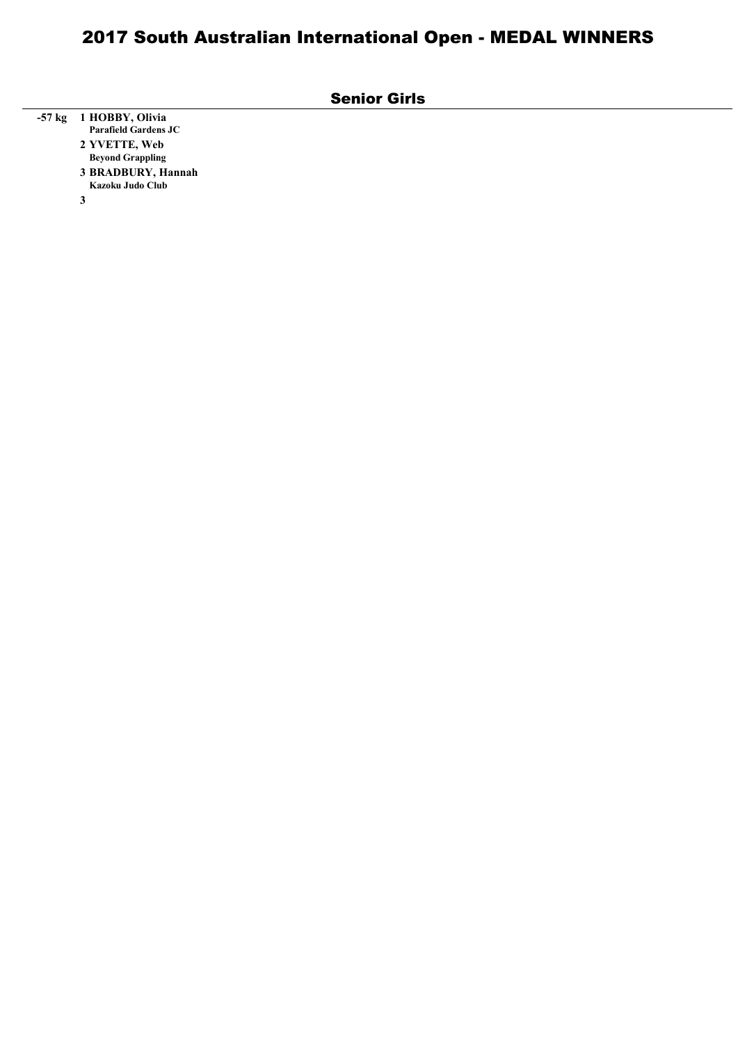| <b>Senior Girls</b> |  |
|---------------------|--|
|---------------------|--|

| -57 kg 1 HOBBY, Olivia      |
|-----------------------------|
| <b>Parafield Gardens JC</b> |
| 2 YVETTE, Web               |
| <b>Beyond Grappling</b>     |
| 3 BRADBURY, Hannah          |
| Kazoku Judo Club            |
|                             |

3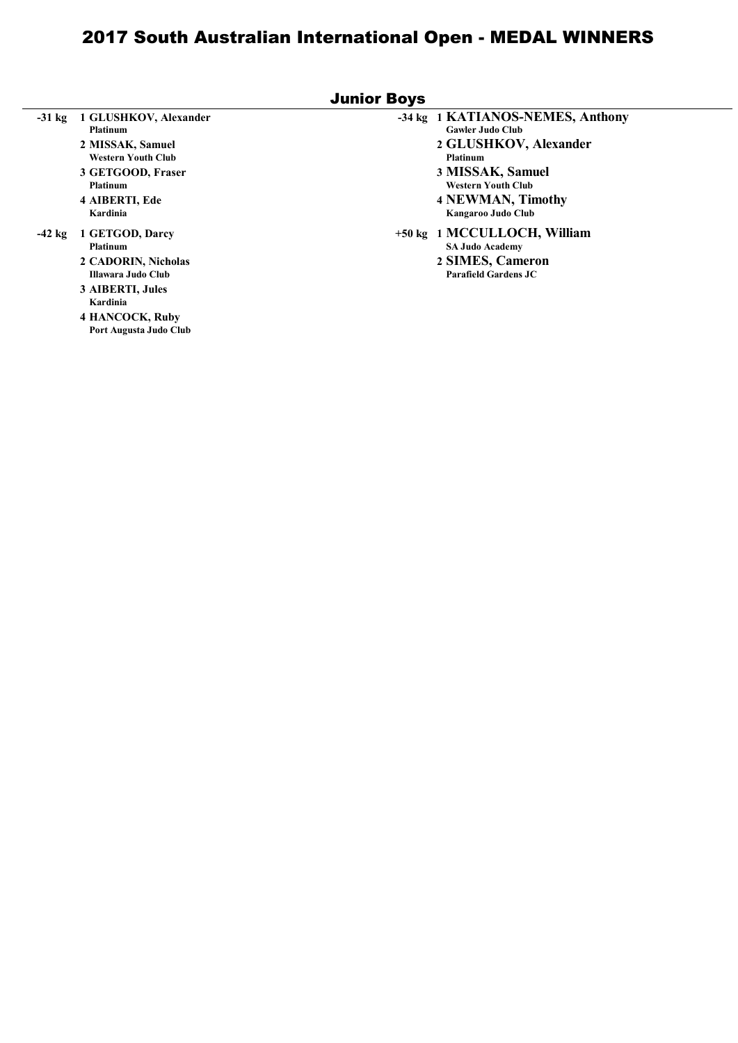|          |                                                                                                                                                                          | <b>Junior Boys</b>                                                                                                                                                                   |
|----------|--------------------------------------------------------------------------------------------------------------------------------------------------------------------------|--------------------------------------------------------------------------------------------------------------------------------------------------------------------------------------|
| $-31$ kg | 1 GLUSHKOV, Alexander<br><b>Platinum</b><br>2 MISSAK, Samuel<br><b>Western Youth Club</b><br>3 GETGOOD, Fraser<br><b>Platinum</b><br>4 AIBERTI, Ede                      | -34 kg 1 KATIANOS-NEMES, Anthony<br><b>Gawler Judo Club</b><br>2 GLUSHKOV, Alexander<br><b>Platinum</b><br>3 MISSAK, Samuel<br><b>Western Youth Club</b><br><b>4 NEWMAN, Timothy</b> |
| $-42$ kg | Kardinia<br>1 GETGOD, Darcy<br><b>Platinum</b><br>2 CADORIN, Nicholas<br>Illawara Judo Club<br>3 AIBERTI, Jules<br>Kardinia<br>4 HANCOCK, Ruby<br>Port Augusta Judo Club | Kangaroo Judo Club<br>+50 kg 1 MCCULLOCH, William<br><b>SA Judo Academy</b><br>2 SIMES, Cameron<br>Parafield Gardens JC                                                              |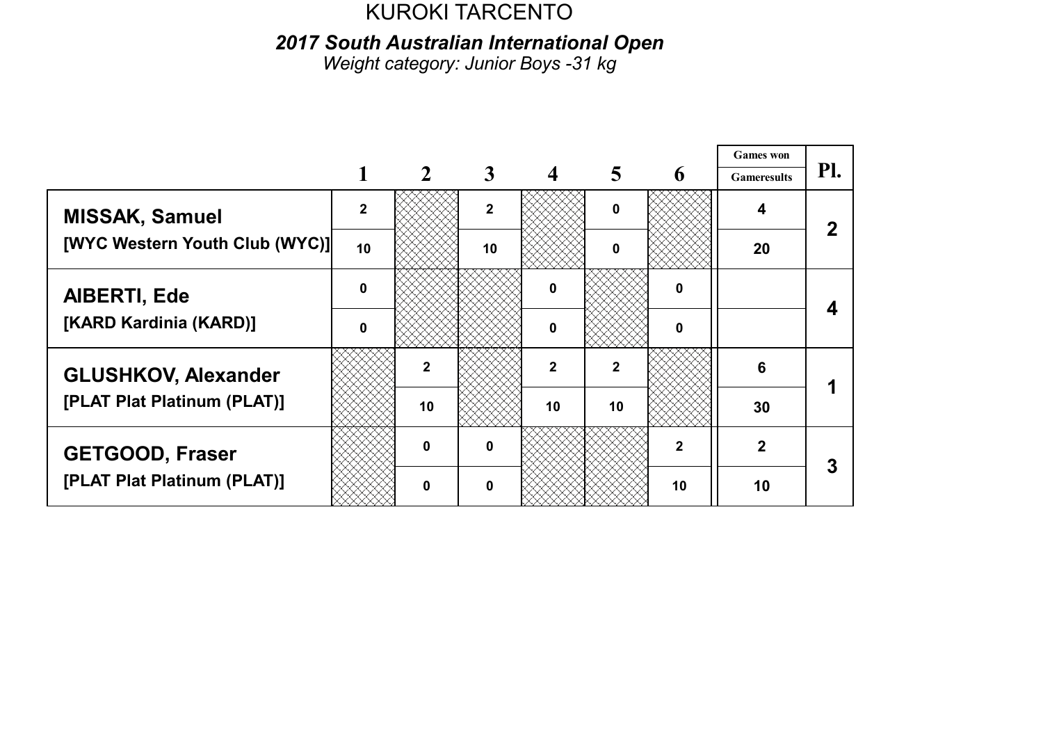2017 South Australian International Open

Weight category: Junior Boys -31 kg

|                                |              |             |              |              |                |                  | <b>Games</b> won   |     |
|--------------------------------|--------------|-------------|--------------|--------------|----------------|------------------|--------------------|-----|
|                                |              |             | 3            |              | 5              | 6                | <b>Gameresults</b> | Pl. |
| <b>MISSAK, Samuel</b>          | $\mathbf{2}$ |             | $\mathbf{2}$ |              | $\mathbf 0$    |                  | 4                  |     |
| [WYC Western Youth Club (WYC)] | 10           |             | 10           |              | <sup>0</sup>   |                  | 20                 |     |
| <b>AIBERTI, Ede</b>            | $\mathbf{0}$ |             |              | n            |                | $\boldsymbol{0}$ |                    |     |
| [KARD Kardinia (KARD)]         | O            |             |              | 0            |                | 0                |                    |     |
| <b>GLUSHKOV, Alexander</b>     |              | $\mathbf 2$ |              | $\mathbf{2}$ | $\overline{2}$ |                  | 6                  |     |
| [PLAT Plat Platinum (PLAT)]    |              | 10          |              | 10           | 10             |                  | 30                 |     |
| <b>GETGOOD, Fraser</b>         |              | $\bf{0}$    | $\mathbf{0}$ |              |                | $\overline{2}$   | $\mathbf{2}$       | 3   |
| [PLAT Plat Platinum (PLAT)]    |              | ŋ           | <sup>0</sup> |              |                | 10               | 10                 |     |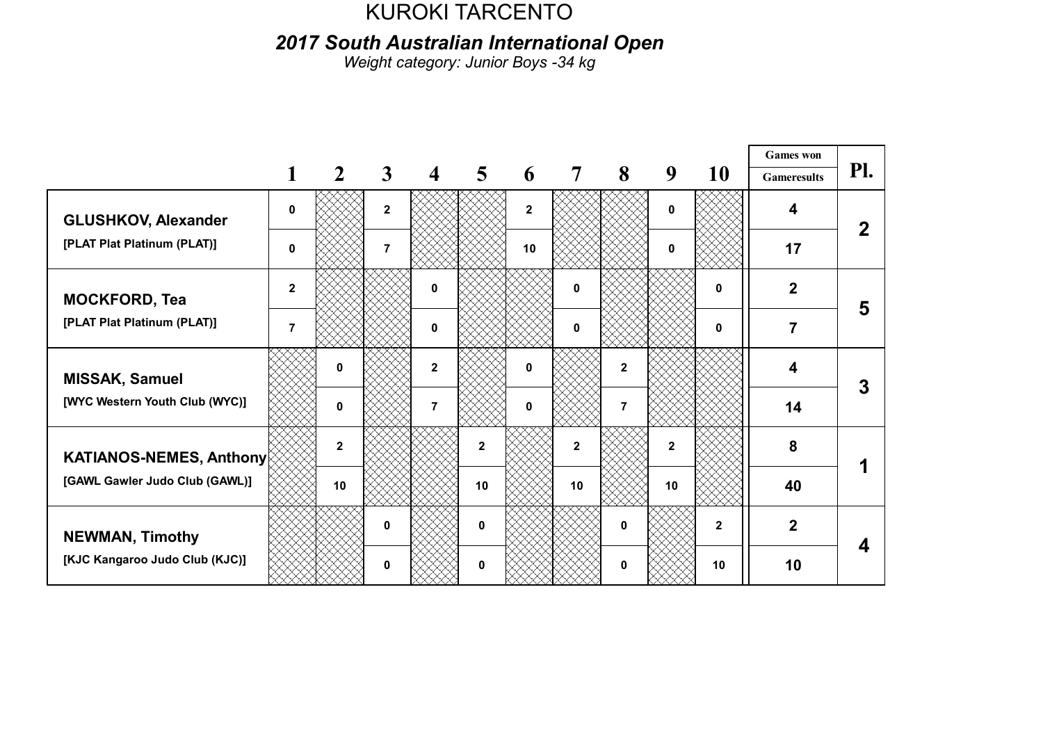#### 2017 South Australian International Open

Weight category: Junior Boys -34 kg

|                                                                  |                |              |                |                         |                         |             |                |              |              |              | <b>Games</b> won   |     |
|------------------------------------------------------------------|----------------|--------------|----------------|-------------------------|-------------------------|-------------|----------------|--------------|--------------|--------------|--------------------|-----|
|                                                                  |                | $\mathbf{2}$ | $\mathbf{3}$   | $\overline{\mathbf{4}}$ | $\overline{\mathbf{5}}$ | 6           | $\overline{7}$ | 8            | 9            | 10           | <b>Gameresults</b> | Pl. |
| <b>GLUSHKOV, Alexander</b>                                       | 0              |              | $\mathbf{2}$   |                         |                         | $\mathbf 2$ |                |              | 0            |              | 4                  |     |
| [PLAT Plat Platinum (PLAT)]                                      | $\bf{0}$       |              | $\overline{7}$ |                         |                         | 10          |                |              | $\mathbf{0}$ |              | 17                 |     |
| <b>MOCKFORD, Tea</b>                                             | $\mathbf{2}$   |              |                | $\mathbf{0}$            |                         |             | 0              |              |              | 0            | $\overline{2}$     | 5   |
| [PLAT Plat Platinum (PLAT)]                                      | $\overline{7}$ |              |                | $\mathbf{0}$            |                         |             | 0              |              |              | $\mathbf{0}$ | 7                  |     |
| MISSAK, Samuel                                                   |                | $\mathbf 0$  |                | $\mathbf{2}$            |                         | 0           |                | $\mathbf 2$  |              |              | 4                  |     |
| [WYC Western Youth Club (WYC)]                                   |                | $\mathbf 0$  |                | $\overline{7}$          |                         | 0           |                | 7            |              |              | 14                 |     |
| <b>KATIANOS-NEMES, Anthony</b><br>[GAWL Gawler Judo Club (GAWL)] |                | $\mathbf{2}$ |                |                         | $\mathbf{2}$            |             | $\overline{2}$ |              | $\mathbf{2}$ |              | 8                  |     |
|                                                                  |                | 10           |                |                         | 10                      |             | 10             |              | 10           |              | 40                 |     |
| <b>NEWMAN, Timothy</b>                                           |                |              | $\bf{0}$       |                         | $\mathbf{0}$            |             |                | $\mathbf{0}$ |              | $\mathbf{2}$ | $\overline{2}$     |     |
| [KJC Kangaroo Judo Club (KJC)]                                   |                |              | 0              |                         |                         |             |                | 0            |              | 10           | 10                 |     |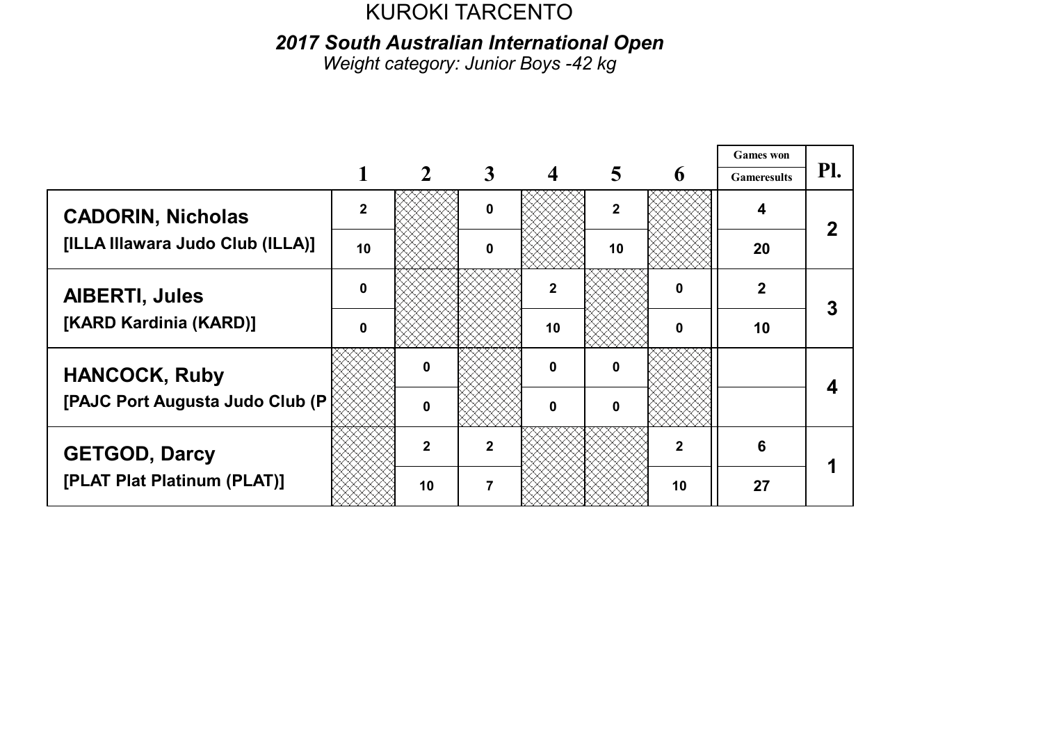2017 South Australian International Open

Weight category: Junior Boys -42 kg

|                                  |              |                |              |              |              |             | <b>Games</b> won   |     |
|----------------------------------|--------------|----------------|--------------|--------------|--------------|-------------|--------------------|-----|
|                                  |              |                | 3            |              | 5            | 6           | <b>Gameresults</b> | Pl. |
| <b>CADORIN, Nicholas</b>         | $\mathbf{2}$ |                | <sup>0</sup> |              | $\mathbf{2}$ |             | 4                  |     |
| [ILLA Illawara Judo Club (ILLA)] | 10           |                | ŋ            |              | 10           |             | 20                 |     |
| <b>AIBERTI, Jules</b>            | $\mathbf{0}$ |                |              | $\mathbf{2}$ |              | $\bf{0}$    | $\mathbf{2}$       |     |
| [KARD Kardinia (KARD)]           | $\Omega$     |                |              | 10           |              | 0           | 10                 |     |
| <b>HANCOCK, Ruby</b>             |              | 0              |              | $\mathbf 0$  | $\mathbf 0$  |             |                    |     |
| [PAJC Port Augusta Judo Club (P  |              | $\bf{0}$       |              | $\Omega$     | $\bf{0}$     |             |                    |     |
| <b>GETGOD, Darcy</b>             |              | $\overline{2}$ | 2            |              |              | $\mathbf 2$ | 6                  |     |
| [PLAT Plat Platinum (PLAT)]      |              | 10             |              |              |              | 10          | 27                 |     |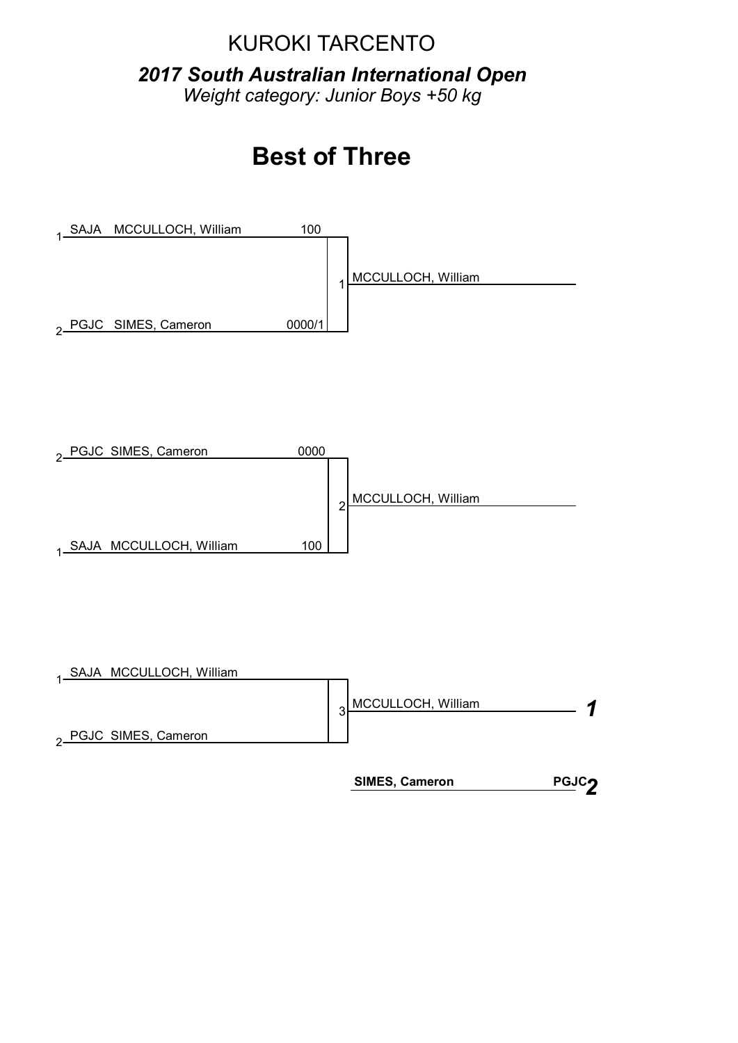2017 South Australian International Open Weight category: Junior Boys +50 kg





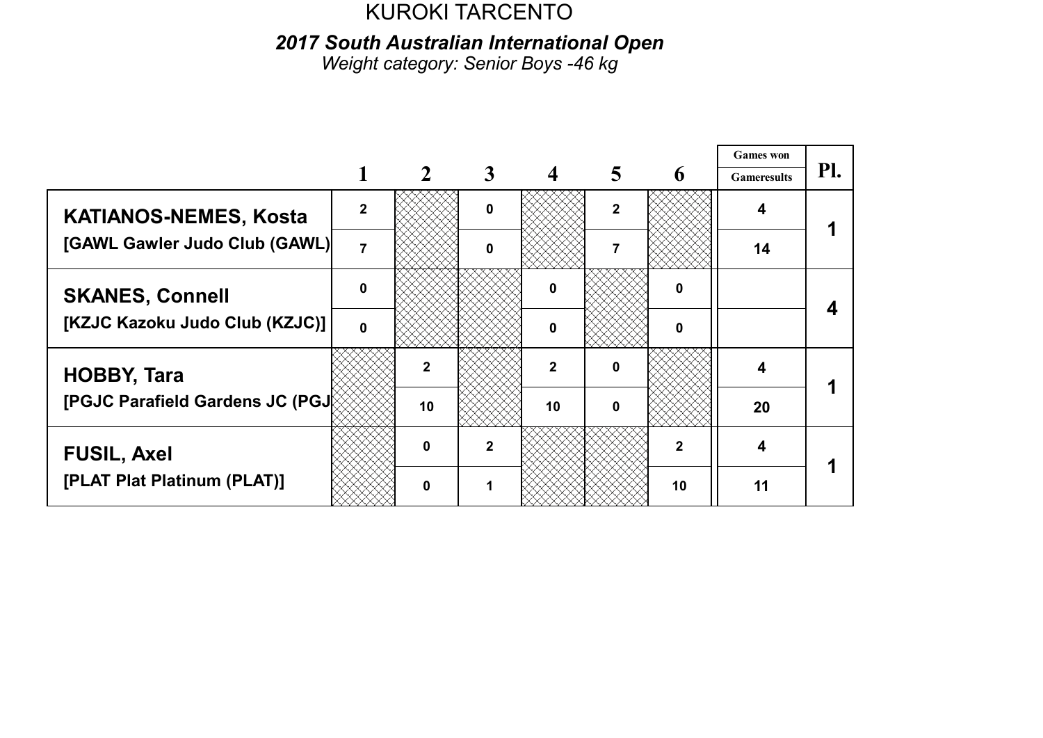2017 South Australian International Open

Weight category: Senior Boys - 46 kg

|                                 |                |              |              |              |              |             | <b>Games</b> won   |     |
|---------------------------------|----------------|--------------|--------------|--------------|--------------|-------------|--------------------|-----|
|                                 |                |              | 3            |              | 5            | 6           | <b>Gameresults</b> | Pl. |
| <b>KATIANOS-NEMES, Kosta</b>    | $\mathbf{c}$   |              | <sup>0</sup> |              | $\mathbf{2}$ |             |                    |     |
| [GAWL Gawler Judo Club (GAWL)   | $\overline{7}$ |              | ŋ            |              |              |             | 14                 |     |
| <b>SKANES, Connell</b>          | $\mathbf{0}$   |              |              | n            |              | $\bf{0}$    |                    |     |
| [KZJC Kazoku Judo Club (KZJC)]  | $\Omega$       |              |              | n            |              | 0           |                    |     |
| <b>HOBBY, Tara</b>              |                |              |              | $\mathbf{2}$ | 0            |             | 4                  |     |
| [PGJC Parafield Gardens JC (PGJ |                | 10           |              | 10           | 0            |             | 20                 |     |
| <b>FUSIL, Axel</b>              |                | $\mathbf{0}$ | 2            |              |              | $\mathbf 2$ | 4                  |     |
| [PLAT Plat Platinum (PLAT)]     |                | O            |              |              |              | 10          | 11                 |     |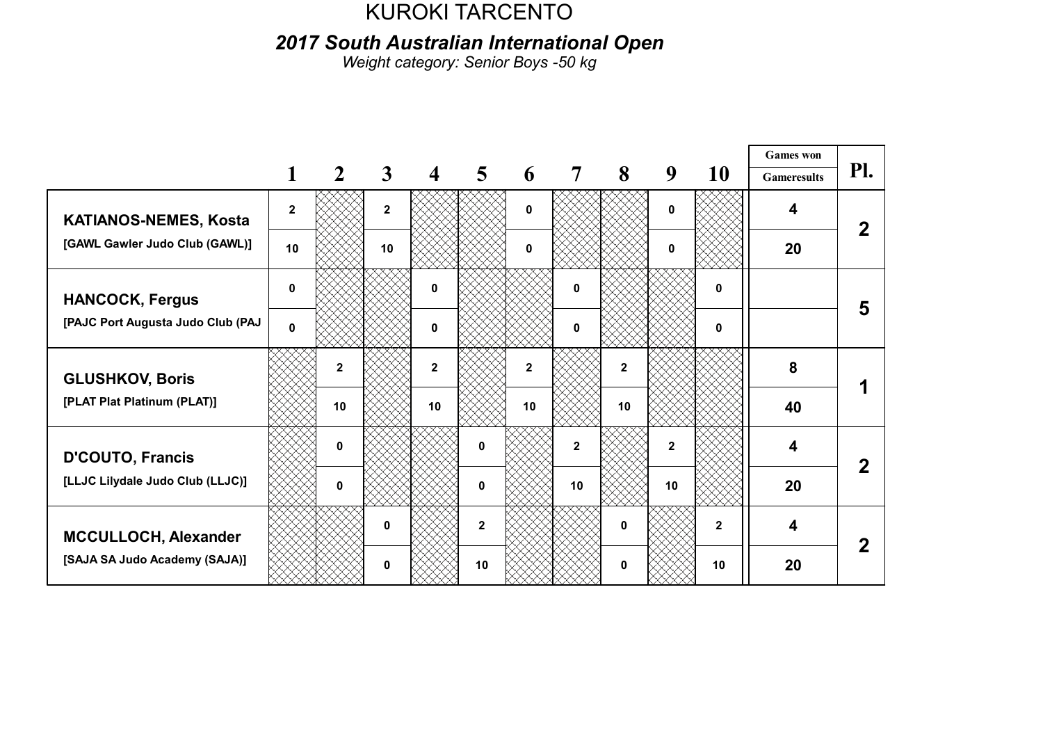2017 South Australian International Open

Weight category: Senior Boys - 50 kg

|                                                             |              |                |              |                         |                         |                |                |                         |              |              | <b>Games</b> won        |     |
|-------------------------------------------------------------|--------------|----------------|--------------|-------------------------|-------------------------|----------------|----------------|-------------------------|--------------|--------------|-------------------------|-----|
|                                                             |              | $\mathbf{2}$   | 3            | $\overline{\mathbf{4}}$ | $\overline{\mathbf{5}}$ | 6              | $\overline{7}$ | 8                       | 9            | 10           | <b>Gameresults</b>      | Pl. |
| <b>KATIANOS-NEMES, Kosta</b>                                | $\mathbf{2}$ |                | $\mathbf{2}$ |                         |                         | 0              |                |                         | $\bf{0}$     |              | 4                       |     |
| [GAWL Gawler Judo Club (GAWL)]                              | 10           |                | 10           |                         |                         | 0              |                |                         | $\mathbf{0}$ |              | 20                      |     |
| <b>HANCOCK, Fergus</b>                                      | $\mathbf{0}$ |                |              | $\mathbf 0$             |                         |                | 0              |                         |              | 0            |                         | 5   |
| [PAJC Port Augusta Judo Club (PAJ                           | $\mathbf{0}$ |                |              | $\mathbf{0}$            |                         |                | 0              |                         |              | 0            |                         |     |
| <b>GLUSHKOV, Boris</b>                                      |              | $\overline{2}$ |              | $\mathbf{2}$            |                         | $\overline{2}$ |                | $\overline{\mathbf{2}}$ |              |              | 8                       |     |
| [PLAT Plat Platinum (PLAT)]                                 |              | 10             |              | 10                      |                         | 10             |                | 10                      |              |              | 40                      |     |
| <b>D'COUTO, Francis</b><br>[LLJC Lilydale Judo Club (LLJC)] |              | $\mathbf{0}$   |              |                         | $\Omega$                |                | $\mathbf{2}$   |                         | $\mathbf{2}$ |              | $\overline{\mathbf{4}}$ |     |
|                                                             |              | $\bf{0}$       |              |                         | $\bf{0}$                |                | 10             |                         | 10           |              | 20                      |     |
| MCCULLOCH, Alexander                                        |              |                | 0            |                         | $\mathbf{2}$            |                |                | $\mathbf{0}$            |              | $\mathbf{2}$ | $\overline{\mathbf{4}}$ |     |
| [SAJA SA Judo Academy (SAJA)]                               |              |                | 0            |                         | 10                      |                |                | 0                       |              | 10           | 20                      |     |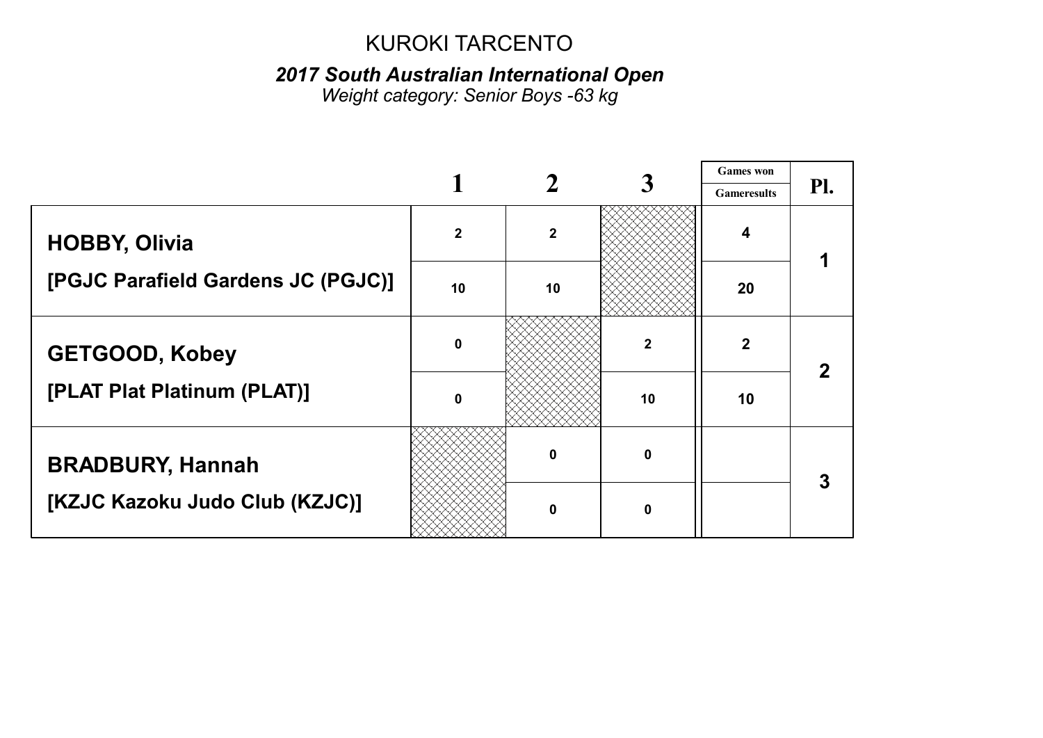### 2017 South Australian International Open

Weight category: Senior Boys -63 kg

|                                    |                  |                |              | <b>Games</b> won        |     |
|------------------------------------|------------------|----------------|--------------|-------------------------|-----|
|                                    |                  |                |              | <b>Gameresults</b>      | Pl. |
| <b>HOBBY, Olivia</b>               | $\boldsymbol{2}$ | $\overline{2}$ |              | $\overline{\mathbf{4}}$ |     |
| [PGJC Parafield Gardens JC (PGJC)] | 10               | 10             |              | 20                      |     |
| <b>GETGOOD, Kobey</b>              | $\mathbf 0$      |                | $\mathbf{2}$ | $\overline{2}$          |     |
| [PLAT Plat Platinum (PLAT)]        | $\mathbf 0$      |                | 10           | 10                      |     |
| <b>BRADBURY, Hannah</b>            |                  | 0              | $\mathbf{0}$ |                         | 3   |
| [KZJC Kazoku Judo Club (KZJC)]     |                  | 0              | n            |                         |     |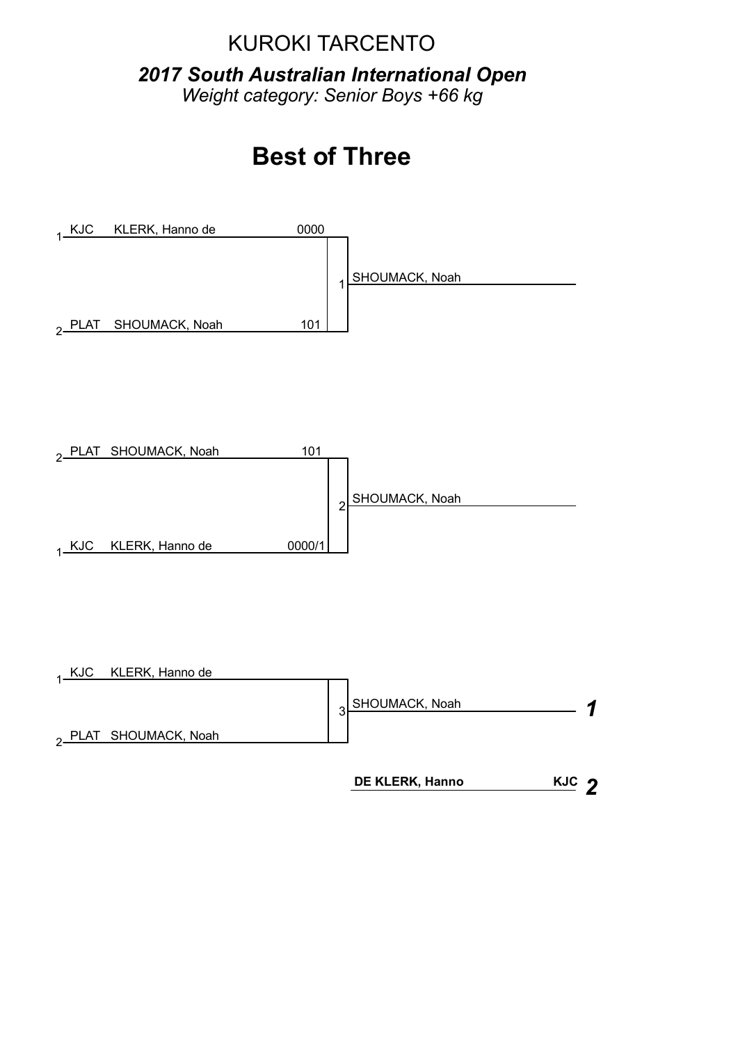2017 South Australian International Open Weight category: Senior Boys +66 kg

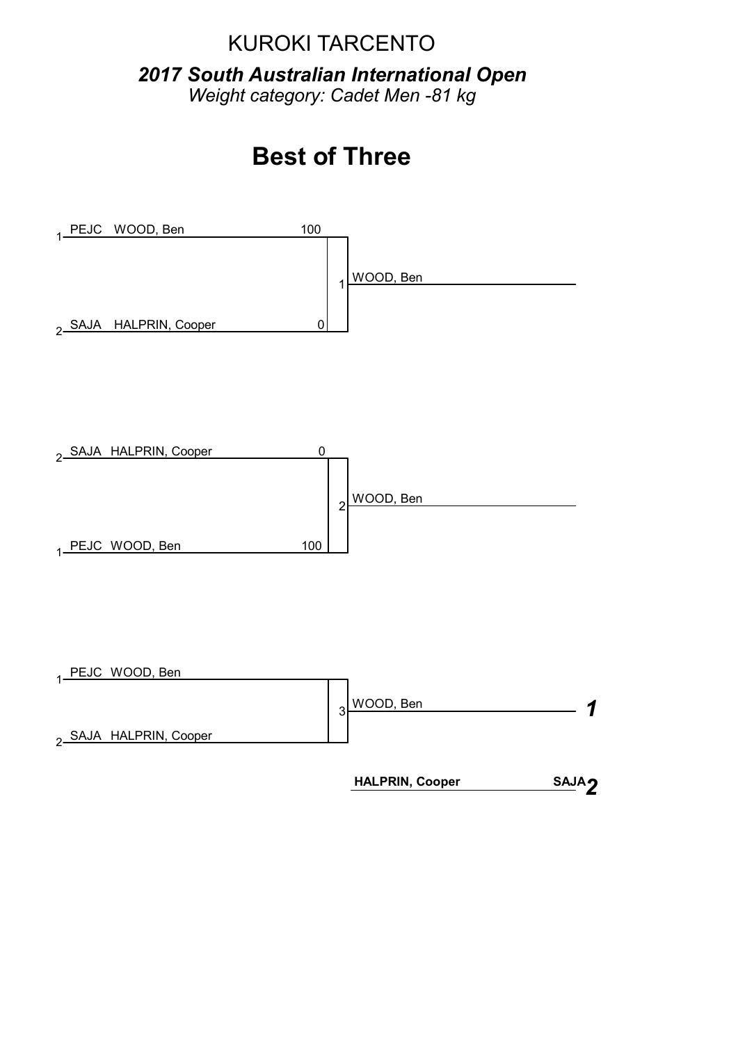2017 South Australian International Open Weight category: Cadet Men -81 kg

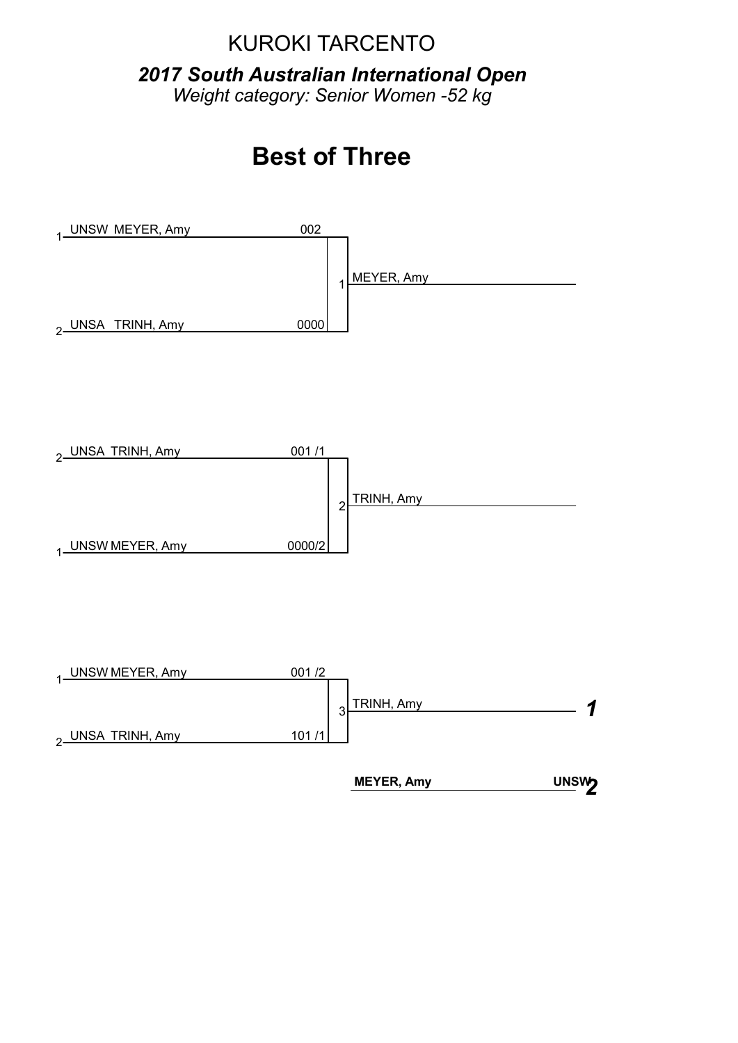2017 South Australian International Open Weight category: Senior Women - 52 kg

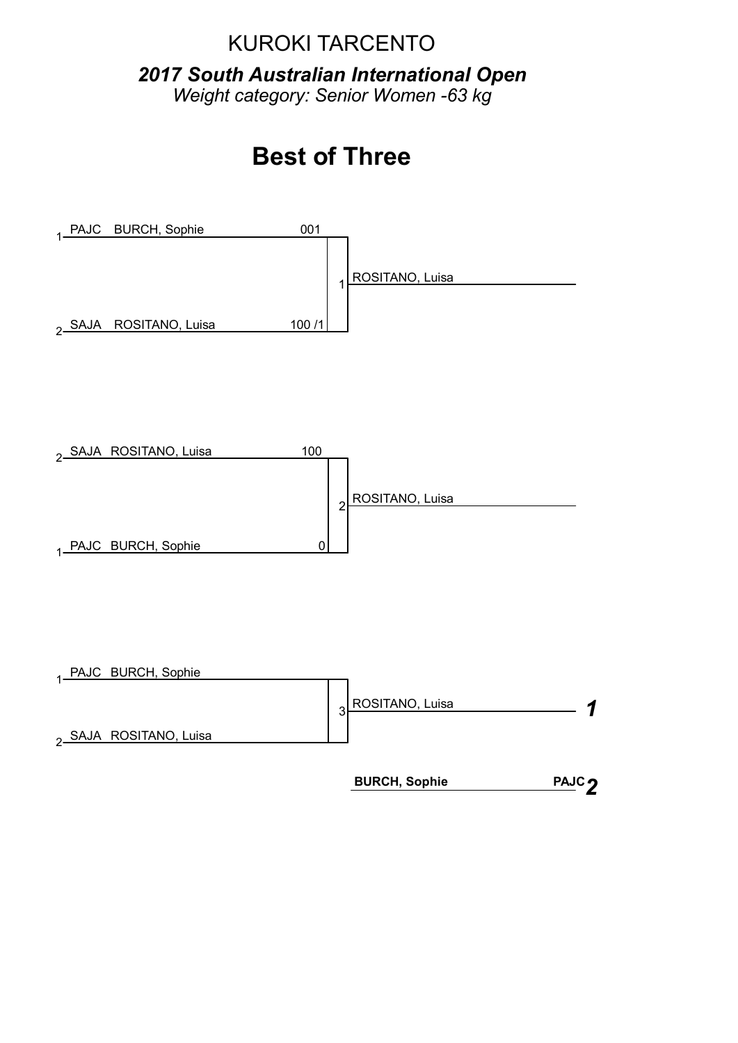2017 South Australian International Open Weight category: Senior Women -63 kg

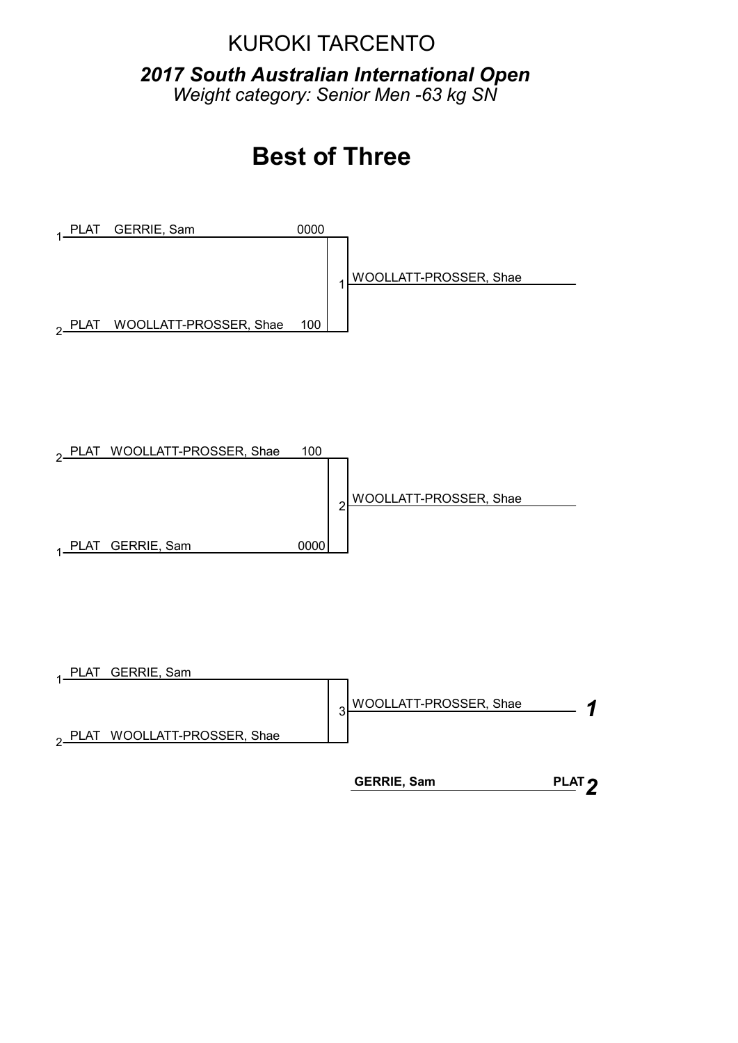2017 South Australian International Open Weight category: Senior Men -63 kg SN

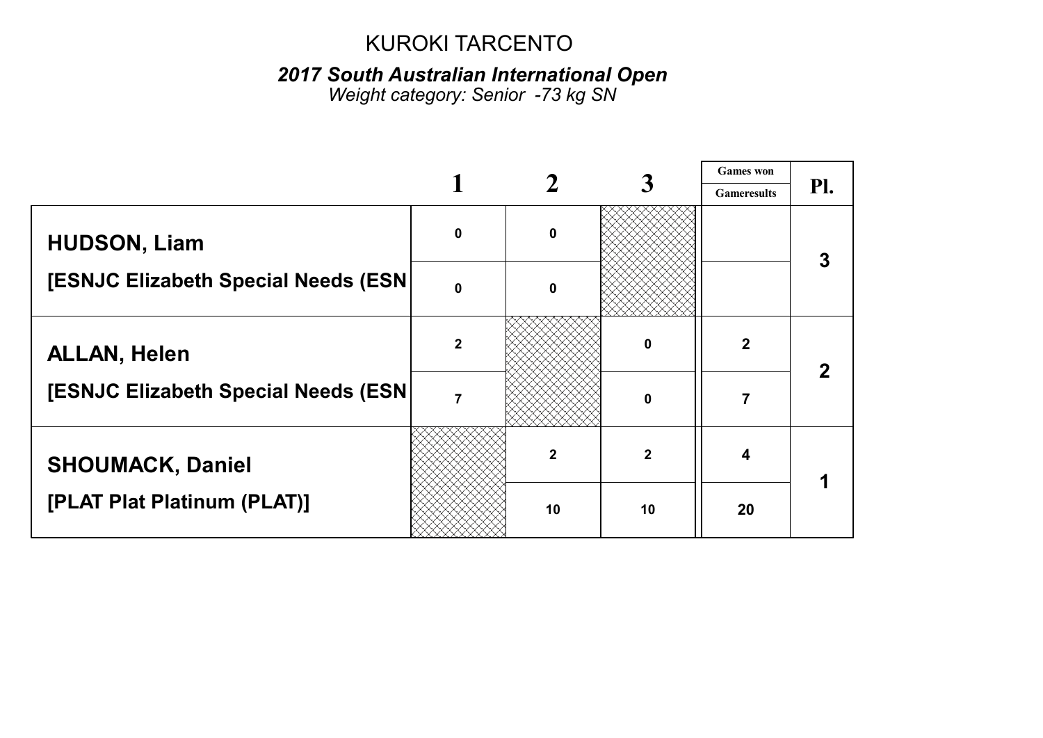#### 2017 South Australian International Open

Weight category: 6enior -*73* kg *SN*

|                                      |                |              |                | <b>Games</b> won   |     |
|--------------------------------------|----------------|--------------|----------------|--------------------|-----|
|                                      |                |              |                | <b>Gameresults</b> | PI. |
| <b>HUDSON, Liam</b>                  | $\mathbf 0$    | $\mathbf 0$  |                |                    | 3   |
| [ESNJC Elizabeth Special Needs (ESN) | $\mathbf{0}$   | $\mathbf{0}$ |                |                    |     |
| <b>ALLAN, Helen</b>                  | $\overline{2}$ |              | 0              | $\mathbf{2}$       |     |
| [ESNJC Elizabeth Special Needs (ESN) | $\overline{7}$ |              | $\mathbf 0$    |                    |     |
| <b>SHOUMACK, Daniel</b>              |                | $\mathbf 2$  | $\overline{2}$ | 4                  |     |
| [PLAT Plat Platinum (PLAT)]          |                | 10           | 10             | 20                 |     |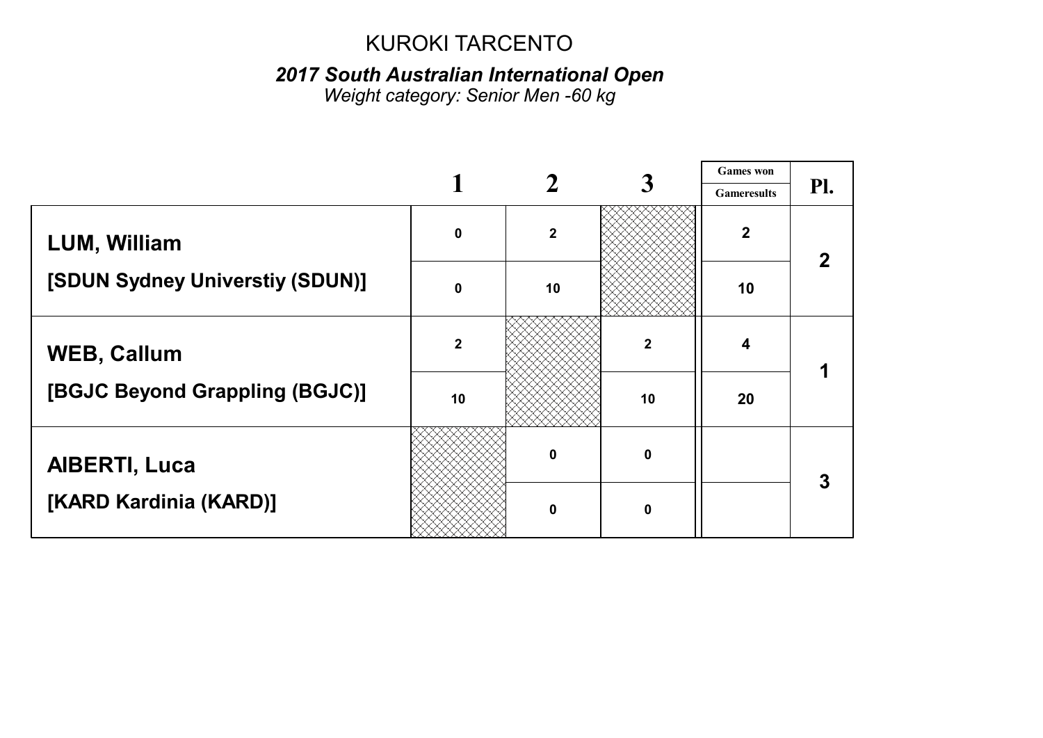### 2017 South Australian International Open

Weight category: Senior Men -60 kg

|                                 |                |             |                  | <b>Games</b> won   |     |
|---------------------------------|----------------|-------------|------------------|--------------------|-----|
|                                 |                |             |                  | <b>Gameresults</b> | PI. |
| <b>LUM, William</b>             | $\mathbf 0$    | $\mathbf 2$ |                  | $\boldsymbol{2}$   |     |
| [SDUN Sydney Universtiy (SDUN)] | $\mathbf{0}$   | 10          |                  | 10                 |     |
| <b>WEB, Callum</b>              | $\overline{2}$ |             | $\boldsymbol{2}$ | 4                  |     |
| [BGJC Beyond Grappling (BGJC)]  | 10             |             | 10               | 20                 |     |
| <b>AIBERTI, Luca</b>            |                | $\Omega$    | $\mathbf 0$      |                    | 3   |
| [KARD Kardinia (KARD)]          |                | $\Omega$    | $\mathbf 0$      |                    |     |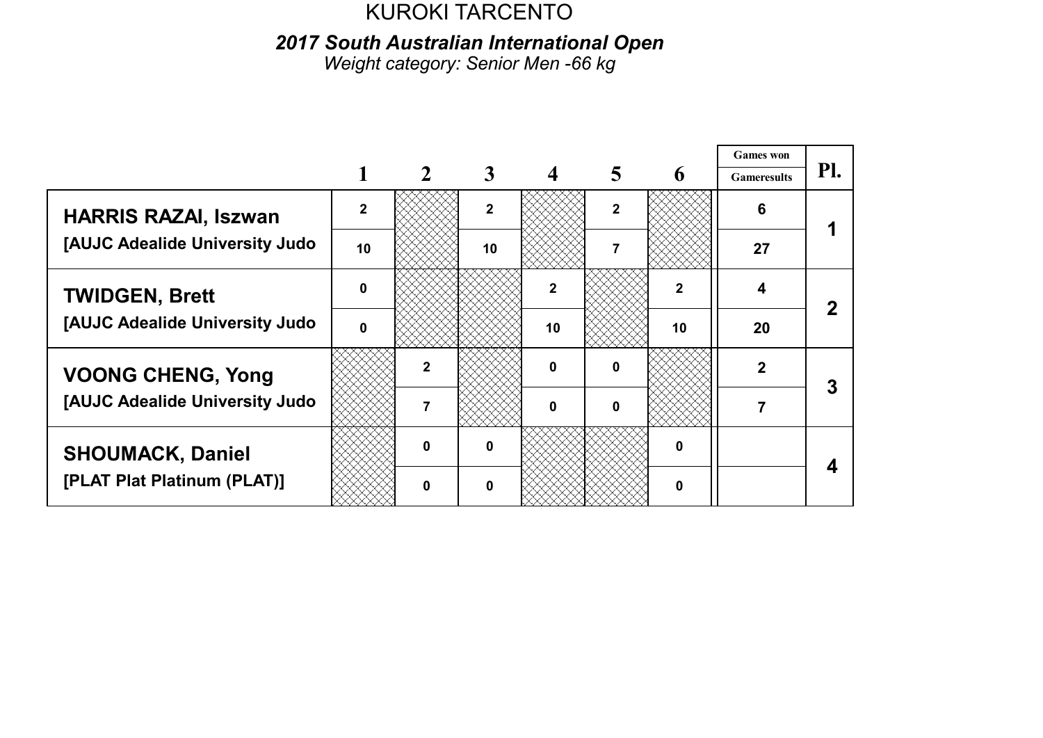2017 South Australian International Open

Weight category: Senior Men -66 kg

|                                |              |              |              |              |              |              | <b>Games</b> won   |     |  |
|--------------------------------|--------------|--------------|--------------|--------------|--------------|--------------|--------------------|-----|--|
|                                |              |              | 3            |              |              | 6            | <b>Gameresults</b> | Pl. |  |
| <b>HARRIS RAZAI, Iszwan</b>    | $\mathbf{2}$ |              | $\mathbf{2}$ |              | $\mathbf{2}$ |              | 6                  |     |  |
| [AUJC Adealide University Judo | 10           |              | 10           |              |              |              | 27                 |     |  |
| <b>TWIDGEN, Brett</b>          | $\mathbf{0}$ |              |              | 2            |              | $\mathbf{2}$ |                    |     |  |
| [AUJC Adealide University Judo | $\Omega$     |              |              | 10           |              | 10           | 20                 |     |  |
| <b>VOONG CHENG, Yong</b>       |              |              |              | 0            | 0            |              | 2                  |     |  |
| [AUJC Adealide University Judo |              |              |              | <sup>0</sup> | n            |              |                    |     |  |
| <b>SHOUMACK, Daniel</b>        |              | $\mathbf{0}$ | 0            |              |              | 0            |                    |     |  |
| [PLAT Plat Platinum (PLAT)]    |              | n            | ŋ            |              |              | O            |                    |     |  |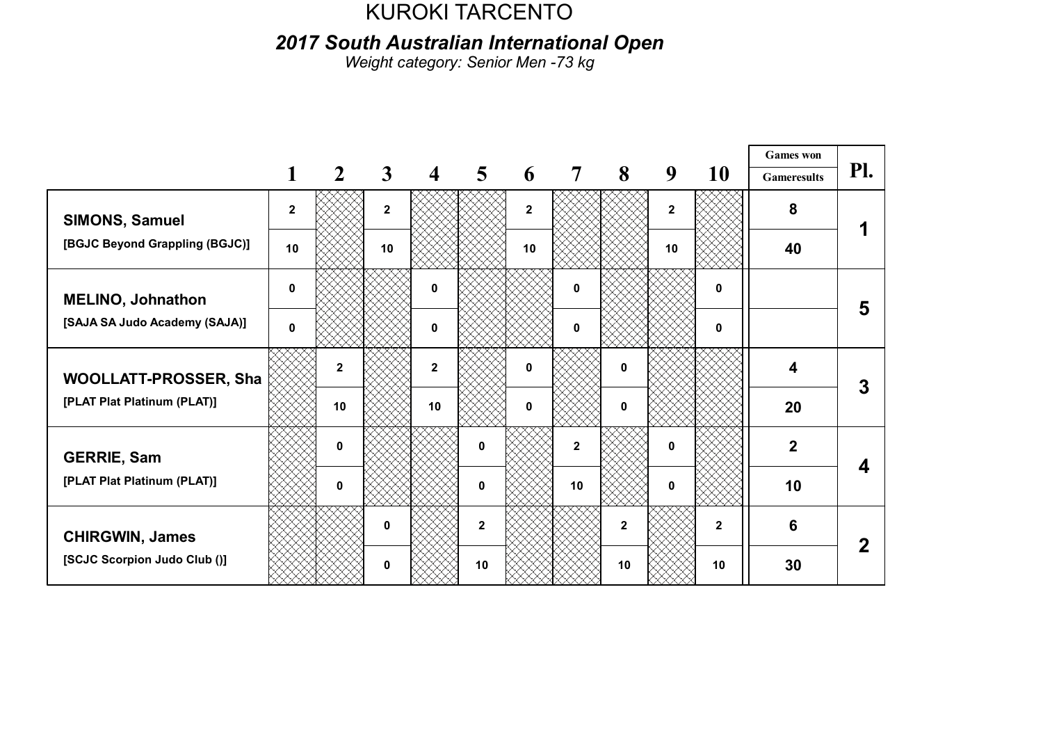2017 South Australian International Open

Weight category: Senior Men -73 kg

|                                                      |              |                |              |                  |                |              |                |                |                |              | <b>Games</b> won   |     |
|------------------------------------------------------|--------------|----------------|--------------|------------------|----------------|--------------|----------------|----------------|----------------|--------------|--------------------|-----|
|                                                      |              | $\overline{2}$ | $\mathbf{3}$ | $\boldsymbol{4}$ | $\overline{5}$ | 6            | $\overline{7}$ | 8              | 9              | 10           | <b>Gameresults</b> | Pl. |
| <b>SIMONS, Samuel</b>                                | $\mathbf{2}$ |                | $\mathbf{2}$ |                  |                | $\mathbf{2}$ |                |                | $\overline{2}$ |              | 8                  |     |
| [BGJC Beyond Grappling (BGJC)]                       | 10           |                | 10           |                  |                | 10           |                |                | 10             |              | 40                 |     |
| <b>MELINO, Johnathon</b>                             | 0            |                |              | 0                |                |              | $\mathbf 0$    |                |                | 0            |                    | 5   |
| [SAJA SA Judo Academy (SAJA)]                        | 0            |                |              | 0                |                |              | 0              |                |                | 0            |                    |     |
| WOOLLATT-PROSSER, Sha<br>[PLAT Plat Platinum (PLAT)] |              | $\mathbf{2}$   |              | $\overline{2}$   |                | 0            |                | $\mathbf{0}$   |                |              | 4                  |     |
|                                                      |              | 10             |              | 10               |                | n            |                | $\mathbf{0}$   |                |              | 20                 |     |
| <b>GERRIE, Sam</b>                                   |              | $\mathbf 0$    |              |                  | $\bf{0}$       |              | $\overline{2}$ |                | $\bf{0}$       |              | $\boldsymbol{2}$   |     |
| [PLAT Plat Platinum (PLAT)]                          |              | 0              |              |                  | $\mathbf{0}$   |              | 10             |                | $\mathbf{0}$   |              | 10                 |     |
| <b>CHIRGWIN, James</b>                               |              |                | 0            |                  | $\overline{2}$ |              |                | $\overline{2}$ |                | $\mathbf{2}$ | 6                  |     |
| [SCJC Scorpion Judo Club ()]                         |              |                | 0            |                  | 10             |              |                | 10             |                | 10           | 30                 |     |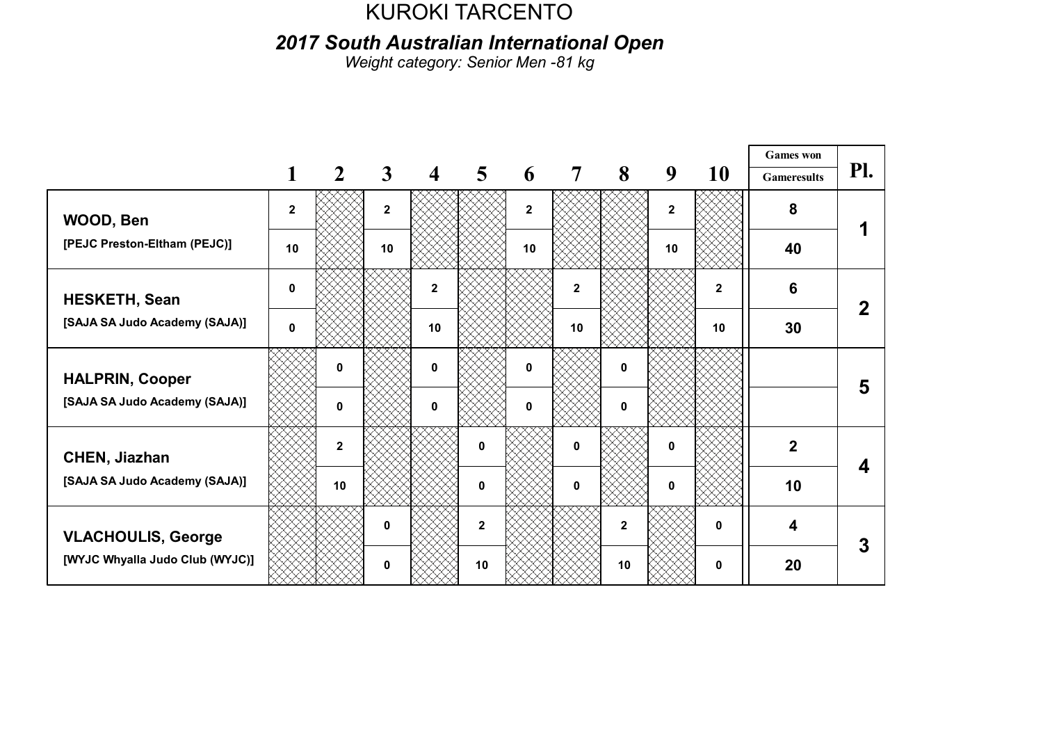2017 South Australian International Open

Weight category: Senior Men -81 kg

|                                 |              |                         |                         |                         |                         |              |              |                |                |              | <b>Games</b> won        |     |
|---------------------------------|--------------|-------------------------|-------------------------|-------------------------|-------------------------|--------------|--------------|----------------|----------------|--------------|-------------------------|-----|
|                                 |              | $\mathbf{2}$            | $\mathbf{3}$            | $\overline{\mathbf{4}}$ | $\overline{\mathbf{5}}$ | 6            | 7            | 8              | 9              | 10           | <b>Gameresults</b>      | Pl. |
| WOOD, Ben                       | $\mathbf{2}$ |                         | $\overline{\mathbf{2}}$ |                         |                         | $\mathbf{2}$ |              |                | $\overline{2}$ |              | 8                       |     |
| [PEJC Preston-Eltham (PEJC)]    | 10           |                         | 10                      |                         |                         | 10           |              |                | 10             |              | 40                      |     |
| <b>HESKETH, Sean</b>            | 0            |                         |                         | $\mathbf{2}$            |                         |              | $\mathbf{2}$ |                |                | $\mathbf{2}$ | 6                       |     |
| [SAJA SA Judo Academy (SAJA)]   | $\mathbf{0}$ |                         |                         | 10                      |                         |              | 10           |                |                | 10           | 30                      |     |
| <b>HALPRIN, Cooper</b>          |              | $\mathbf{0}$            |                         | $\mathbf{0}$            |                         | 0            |              | 0              |                |              |                         | 5   |
| [SAJA SA Judo Academy (SAJA)]   |              | $\mathbf{0}$            |                         | $\mathbf 0$             |                         | 0            |              | 0              |                |              |                         |     |
| <b>CHEN, Jiazhan</b>            |              | $\overline{\mathbf{2}}$ |                         |                         | $\mathbf{0}$            |              | $\bf{0}$     |                | $\mathbf{0}$   |              | $\overline{2}$          |     |
| [SAJA SA Judo Academy (SAJA)]   |              | 10                      |                         |                         | $\bf{0}$                |              | $\mathbf{0}$ |                | $\mathbf{0}$   |              | 10                      |     |
| <b>VLACHOULIS, George</b>       |              |                         | 0                       |                         | $\overline{2}$          |              |              | $\overline{2}$ |                | 0            | $\overline{\mathbf{4}}$ | 3   |
| [WYJC Whyalla Judo Club (WYJC)] |              |                         | 0                       |                         | 10                      |              |              | 10             |                | 0            | 20                      |     |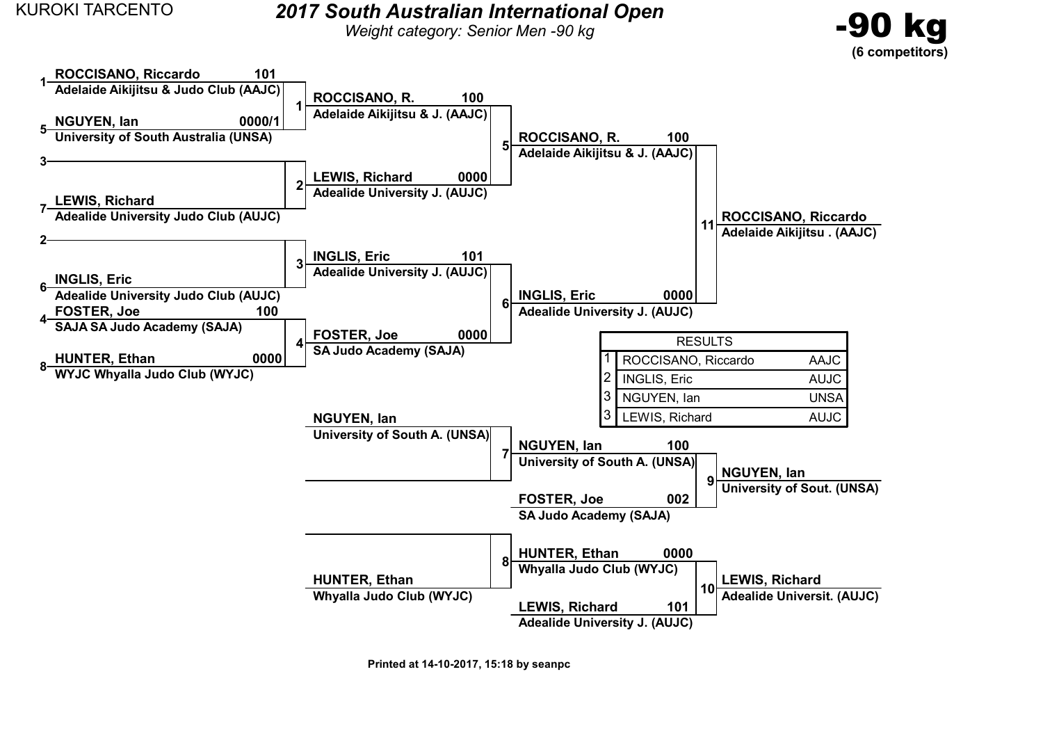#### KUROKI TARCENTO 2017 South Australian International Open

Weight category: Senior Men -90 kg





Printed at 14-10-2017, 15:18 by seanpc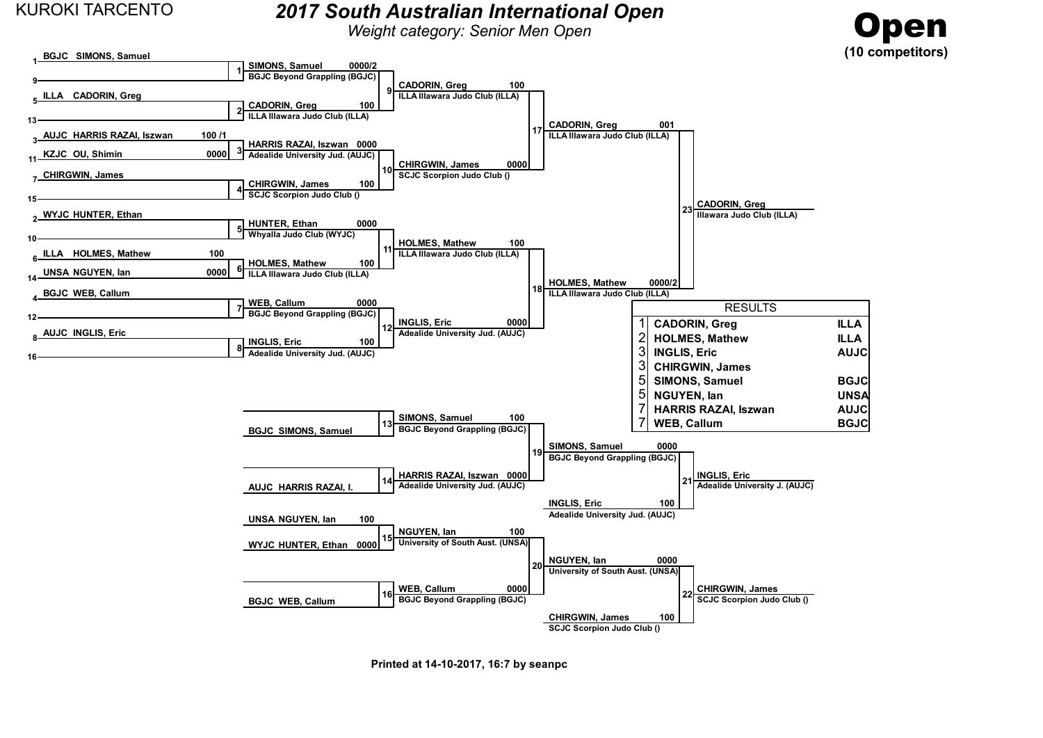BGJC SIMONS, Samuel

 $\overline{a}$ 

#### KUROKI TARCENTO 2017 South Australian International Open

Weight category: Senior Men Open





Printed at 14-10-2017, 16:7 by seanpc